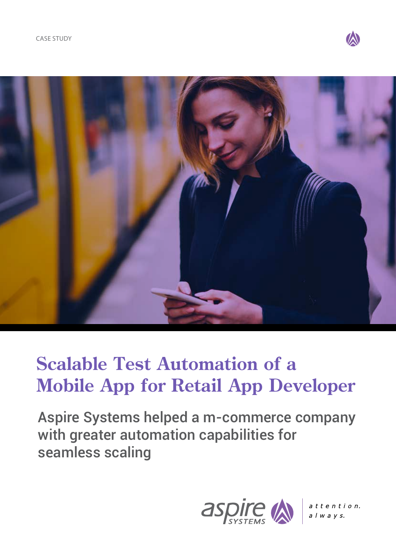



# **Scalable Test Automation of a Mobile App for Retail App Developer**

Aspire Systems helped a m-commerce company with greater automation capabilities for seamless scaling



 $atten tio n.$  $a$   $l$   $w$   $a$   $y$   $s$ .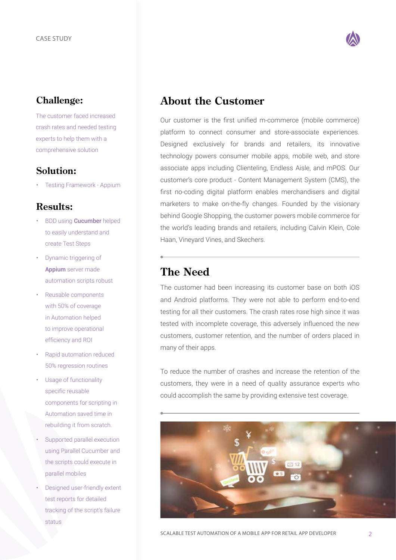#### **Challenge:**

The customer faced increased crash rates and needed testing experts to help them with a comprehensive solution

#### **Solution:**

• Testing Framework - Appium

#### **Results:**

- BDD using **Cucumber** helped to easily understand and create Test Steps
- Dynamic triggering of Appium server made automation scripts robust
- Reusable components with 50% of coverage in Automation helped to improve operational efficiency and ROI
- Rapid automation reduced 50% regression routines
- Usage of functionality specific reusable components for scripting in Automation saved time in rebuilding it from scratch.
- Supported parallel execution using Parallel Cucumber and the scripts could execute in parallel mobiles
- Designed user-friendly extent test reports for detailed tracking of the script's failure status



## **About the Customer**

Our customer is the first unified m-commerce (mobile commerce) platform to connect consumer and store-associate experiences. Designed exclusively for brands and retailers, its innovative technology powers consumer mobile apps, mobile web, and store associate apps including Clienteling, Endless Aisle, and mPOS. Our customer's core product - Content Management System (CMS), the first no-coding digital platform enables merchandisers and digital marketers to make on-the-fly changes. Founded by the visionary behind Google Shopping, the customer powers mobile commerce for the world's leading brands and retailers, including Calvin Klein, Cole Haan, Vineyard Vines, and Skechers.

# **The Need**

The customer had been increasing its customer base on both iOS and Android platforms. They were not able to perform end-to-end testing for all their customers. The crash rates rose high since it was tested with incomplete coverage, this adversely influenced the new customers, customer retention, and the number of orders placed in many of their apps.

To reduce the number of crashes and increase the retention of the customers, they were in a need of quality assurance experts who could accomplish the same by providing extensive test coverage.

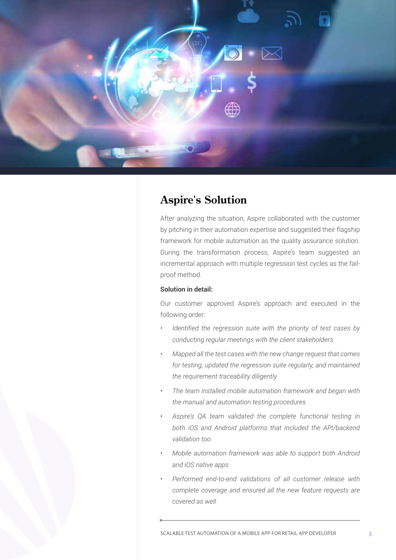

### **Aspire's Solution**

After analyzing the situation, Aspire collaborated with the customer by pitching in their automation expertise and suggested their flagship framework for mobile automation as the quality assurance solution. During the transformation process, Aspire's team suggested an incremental approach with multiple regression test cycles as the failproof method.

#### **Solution in detail:**

Our customer approved Aspire's approach and executed in the following order:

- *• Identified the regression suite with the priority of test cases by conducting regular meetings with the client stakeholders*
- *• Mapped all the test cases with the new change request that comes for testing, updated the regression suite regularly, and maintained the requirement traceability diligently*
- *• The team installed mobile automation framework and began with the manual and automation testing procedures*
- *• Aspire's QA team validated the complete functional testing in both iOS and Android platforms that included the API/backend validation too.*
- *• Mobile automation framework was able to support both Android and iOS native apps*
- *• Performed end-to-end validations of all customer release with complete coverage and ensured all the new feature requests are covered as well*